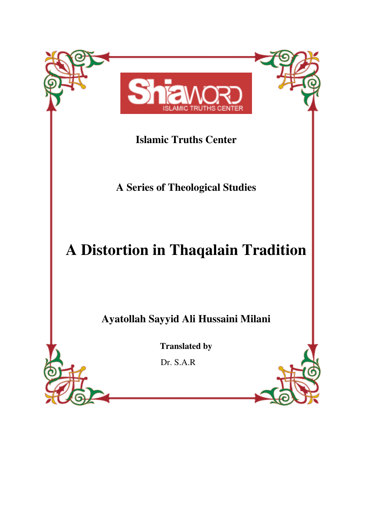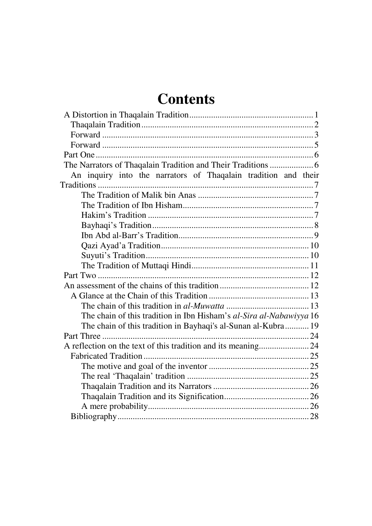# **Contents**

| The Narrators of Thaqalain Tradition and Their Traditions  6        |
|---------------------------------------------------------------------|
| An inquiry into the narrators of Thaqalain tradition and their      |
|                                                                     |
|                                                                     |
|                                                                     |
|                                                                     |
|                                                                     |
|                                                                     |
|                                                                     |
|                                                                     |
|                                                                     |
|                                                                     |
|                                                                     |
|                                                                     |
|                                                                     |
| The chain of this tradition in Ibn Hisham's al-Sira al-Nabawiyya 16 |
| The chain of this tradition in Bayhaqi's al-Sunan al-Kubra 19       |
|                                                                     |
|                                                                     |
|                                                                     |
|                                                                     |
|                                                                     |
|                                                                     |
|                                                                     |
|                                                                     |
|                                                                     |
|                                                                     |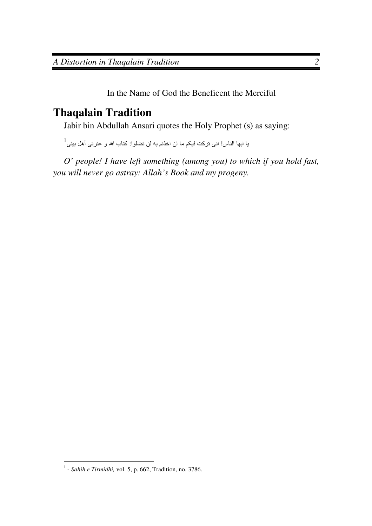In the Name of God the Beneficent the Merciful

## **Thaqalain Tradition**

Jabir bin Abdullah Ansari quotes the Holy Prophet (s) as saying:

 $^1$  اليها الناس! انى تركت فيكم ما ان اخذتم به لن تضلوا: كتاب الله و عترتى أهل بيتى

*O' people! I have left something (among you) to which if you hold fast, you will never go astray: Allah's Book and my progeny.* 

 1 - *Sahih e Tirmidhi,* vol. 5, p. 662, Tradition, no. 3786.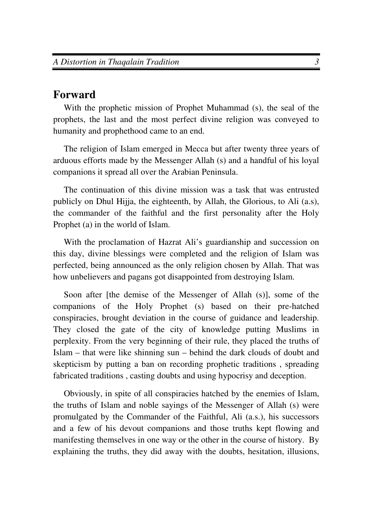## **Forward**

With the prophetic mission of Prophet Muhammad (s), the seal of the prophets, the last and the most perfect divine religion was conveyed to humanity and prophethood came to an end.

The religion of Islam emerged in Mecca but after twenty three years of arduous efforts made by the Messenger Allah (s) and a handful of his loyal companions it spread all over the Arabian Peninsula.

The continuation of this divine mission was a task that was entrusted publicly on Dhul Hijja, the eighteenth, by Allah, the Glorious, to Ali (a.s), the commander of the faithful and the first personality after the Holy Prophet (a) in the world of Islam.

With the proclamation of Hazrat Ali's guardianship and succession on this day, divine blessings were completed and the religion of Islam was perfected, being announced as the only religion chosen by Allah. That was how unbelievers and pagans got disappointed from destroying Islam.

Soon after [the demise of the Messenger of Allah (s)], some of the companions of the Holy Prophet (s) based on their pre-hatched conspiracies, brought deviation in the course of guidance and leadership. They closed the gate of the city of knowledge putting Muslims in perplexity. From the very beginning of their rule, they placed the truths of Islam – that were like shinning sun – behind the dark clouds of doubt and skepticism by putting a ban on recording prophetic traditions , spreading fabricated traditions , casting doubts and using hypocrisy and deception.

Obviously, in spite of all conspiracies hatched by the enemies of Islam, the truths of Islam and noble sayings of the Messenger of Allah (s) were promulgated by the Commander of the Faithful, Ali (a.s.), his successors and a few of his devout companions and those truths kept flowing and manifesting themselves in one way or the other in the course of history. By explaining the truths, they did away with the doubts, hesitation, illusions,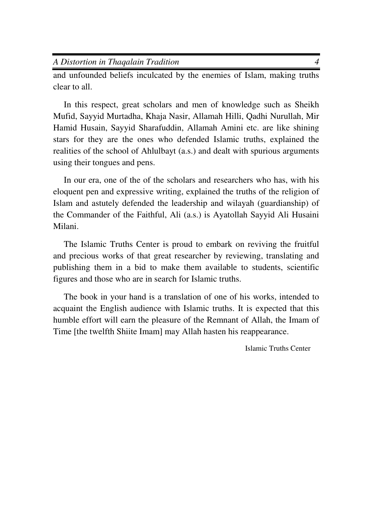and unfounded beliefs inculcated by the enemies of Islam, making truths clear to all.

In this respect, great scholars and men of knowledge such as Sheikh Mufid, Sayyid Murtadha, Khaja Nasir, Allamah Hilli, Qadhi Nurullah, Mir Hamid Husain, Sayyid Sharafuddin, Allamah Amini etc. are like shining stars for they are the ones who defended Islamic truths, explained the realities of the school of Ahlulbayt (a.s.) and dealt with spurious arguments using their tongues and pens.

In our era, one of the of the scholars and researchers who has, with his eloquent pen and expressive writing, explained the truths of the religion of Islam and astutely defended the leadership and wilayah (guardianship) of the Commander of the Faithful, Ali (a.s.) is Ayatollah Sayyid Ali Husaini Milani.

The Islamic Truths Center is proud to embark on reviving the fruitful and precious works of that great researcher by reviewing, translating and publishing them in a bid to make them available to students, scientific figures and those who are in search for Islamic truths.

The book in your hand is a translation of one of his works, intended to acquaint the English audience with Islamic truths. It is expected that this humble effort will earn the pleasure of the Remnant of Allah, the Imam of Time [the twelfth Shiite Imam] may Allah hasten his reappearance.

Islamic Truths Center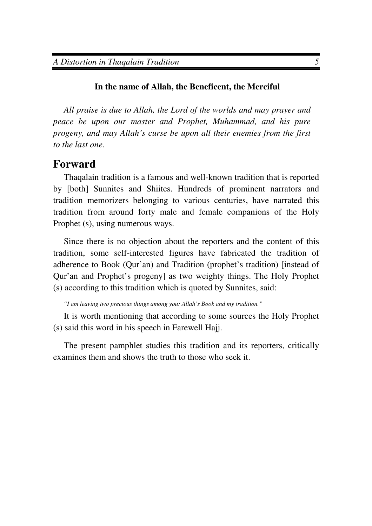#### **In the name of Allah, the Beneficent, the Merciful**

*All praise is due to Allah, the Lord of the worlds and may prayer and peace be upon our master and Prophet, Muhammad, and his pure progeny, and may Allah's curse be upon all their enemies from the first to the last one.* 

## **Forward**

Thaqalain tradition is a famous and well-known tradition that is reported by [both] Sunnites and Shiites. Hundreds of prominent narrators and tradition memorizers belonging to various centuries, have narrated this tradition from around forty male and female companions of the Holy Prophet (s), using numerous ways.

Since there is no objection about the reporters and the content of this tradition, some self-interested figures have fabricated the tradition of adherence to Book (Qur'an) and Tradition (prophet's tradition) [instead of Qur'an and Prophet's progeny] as two weighty things. The Holy Prophet (s) according to this tradition which is quoted by Sunnites, said:

 *"I am leaving two precious things among you: Allah's Book and my tradition."* 

It is worth mentioning that according to some sources the Holy Prophet (s) said this word in his speech in Farewell Hajj.

The present pamphlet studies this tradition and its reporters, critically examines them and shows the truth to those who seek it.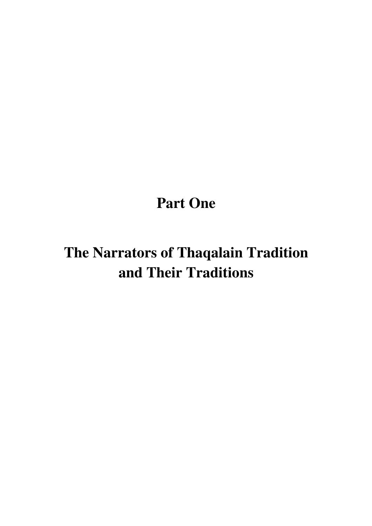# **Part One**

# **The Narrators of Thaqalain Tradition and Their Traditions**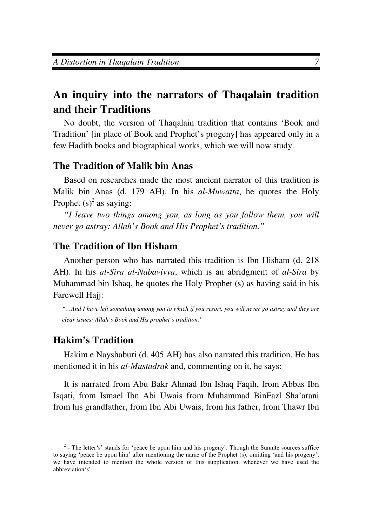## **An inquiry into the narrators of Thaqalain tradition and their Traditions**

No doubt, the version of Thaqalain tradition that contains 'Book and Tradition' [in place of Book and Prophet's progeny] has appeared only in a few Hadith books and biographical works, which we will now study.

## **The Tradition of Malik bin Anas**

Based on researches made the most ancient narrator of this tradition is Malik bin Anas (d. 179 AH). In his *al-Muwatta*, he quotes the Holy Prophet  $(s)^2$  as saying:

*"I leave two things among you, as long as you follow them, you will never go astray: Allah's Book and His Prophet's tradition."* 

## **The Tradition of Ibn Hisham**

Another person who has narrated this tradition is Ibn Hisham (d. 218 AH). In his *al-Sira al-Nabaviyya*, which is an abridgment of *al-Sira* by Muhammad bin Ishaq, he quotes the Holy Prophet (s) as having said in his Farewell Hajj:

*"…And I have left something among you to which if you resort, you will never go astray and they are clear issues: Allah's Book and His prophet's tradition."* 

## **Hakim's Tradition**

 $\overline{a}$ 

Hakim e Nayshaburi (d. 405 AH) has also narrated this tradition. He has mentioned it in his *al-Mustadrak* and, commenting on it, he says:

It is narrated from Abu Bakr Ahmad Ibn Ishaq Faqih, from Abbas Ibn Isqati, from Ismael Ibn Abi Uwais from Muhammad BinFazl Sha'arani from his grandfather, from Ibn Abi Uwais, from his father, from Thawr Ibn

 $2$ - The letter's' stands for 'peace be upon him and his progeny'. Though the Sunnite sources suffice to saying 'peace be upon him' after mentioning the name of the Prophet (s), omitting 'and his progeny', we have intended to mention the whole version of this supplication, whenever we have used the abbreviation's'.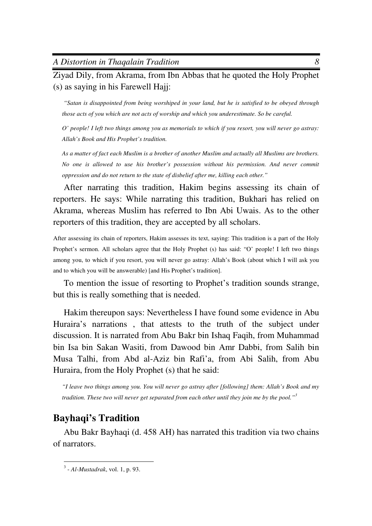*A Distortion in Thaqalain Tradition 8*

Ziyad Dily, from Akrama, from Ibn Abbas that he quoted the Holy Prophet (s) as saying in his Farewell Hajj:

 *"Satan is disappointed from being worshiped in your land, but he is satisfied to be obeyed through those acts of you which are not acts of worship and which you underestimate. So be careful.* 

*O' people! I left two things among you as memorials to which if you resort, you will never go astray: Allah's Book and His Prophet's tradition.* 

*As a matter of fact each Muslim is a brother of another Muslim and actually all Muslims are brothers. No one is allowed to use his brother's possession without his permission. And never commit oppression and do not return to the state of disbelief after me, killing each other."* 

After narrating this tradition, Hakim begins assessing its chain of reporters. He says: While narrating this tradition, Bukhari has relied on Akrama, whereas Muslim has referred to Ibn Abi Uwais. As to the other reporters of this tradition, they are accepted by all scholars.

After assessing its chain of reporters, Hakim assesses its text, saying: This tradition is a part of the Holy Prophet's sermon. All scholars agree that the Holy Prophet (s) has said: "O' people! I left two things among you, to which if you resort, you will never go astray: Allah's Book (about which I will ask you and to which you will be answerable) [and His Prophet's tradition].

To mention the issue of resorting to Prophet's tradition sounds strange, but this is really something that is needed.

Hakim thereupon says: Nevertheless I have found some evidence in Abu Huraira's narrations , that attests to the truth of the subject under discussion. It is narrated from Abu Bakr bin Ishaq Faqih, from Muhammad bin Isa bin Sakan Wasiti, from Dawood bin Amr Dabbi, from Salih bin Musa Talhi, from Abd al-Aziz bin Rafi'a, from Abi Salih, from Abu Huraira, from the Holy Prophet (s) that he said:

*"I leave two things among you. You will never go astray after [following] them: Allah's Book and my tradition. These two will never get separated from each other until they join me by the pool."<sup>3</sup>*

## **Bayhaqi's Tradition**

Abu Bakr Bayhaqi (d. 458 AH) has narrated this tradition via two chains of narrators.

 3 - *Al-Mustadrak*, vol. 1, p. 93.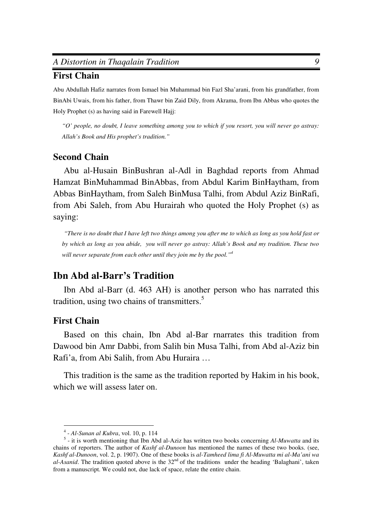#### *A Distortion in Thaqalain Tradition 9*

#### **First Chain**

Abu Abdullah Hafiz narrates from Ismael bin Muhammad bin Fazl Sha'arani, from his grandfather, from BinAbi Uwais, from his father, from Thawr bin Zaid Dily, from Akrama, from Ibn Abbas who quotes the Holy Prophet (s) as having said in Farewell Hajj:

*"O' people, no doubt, I leave something among you to which if you resort, you will never go astray: Allah's Book and His prophet's tradition."* 

### **Second Chain**

Abu al-Husain BinBushran al-Adl in Baghdad reports from Ahmad Hamzat BinMuhammad BinAbbas, from Abdul Karim BinHaytham, from Abbas BinHaytham, from Saleh BinMusa Talhi, from Abdul Aziz BinRafi, from Abi Saleh, from Abu Hurairah who quoted the Holy Prophet (s) as saying:

*"There is no doubt that I have left two things among you after me to which as long as you hold fast or by which as long as you abide, you will never go astray: Allah's Book and my tradition. These two will never separate from each other until they join me by the pool."<sup>4</sup>*

## **Ibn Abd al-Barr's Tradition**

Ibn Abd al-Barr (d. 463 AH) is another person who has narrated this tradition, using two chains of transmitters.<sup>5</sup>

#### **First Chain**

 $\overline{a}$ 

Based on this chain, Ibn Abd al-Bar rnarrates this tradition from Dawood bin Amr Dabbi, from Salih bin Musa Talhi, from Abd al-Aziz bin Rafi'a, from Abi Salih, from Abu Huraira …

This tradition is the same as the tradition reported by Hakim in his book, which we will assess later on.

<sup>4</sup> - *Al-Sunan al Kubra*, vol. 10, p. 114

<sup>&</sup>lt;sup>5</sup> - it is worth mentioning that Ibn Abd al-Aziz has written two books concerning *Al-Muwatta* and its chains of reporters. The author of *Kashf al-Dunoon* has mentioned the names of these two books. (see, *Kashf al-Dunoon*, vol. 2, p. 1907). One of these books is *al-Tamheed lima fi Al-Muwatta mi al-Ma'ani wa al-Asanid*. The tradition quoted above is the 32<sup>nd</sup> of the traditions under the heading 'Balaghani', taken from a manuscript. We could not, due lack of space, relate the entire chain.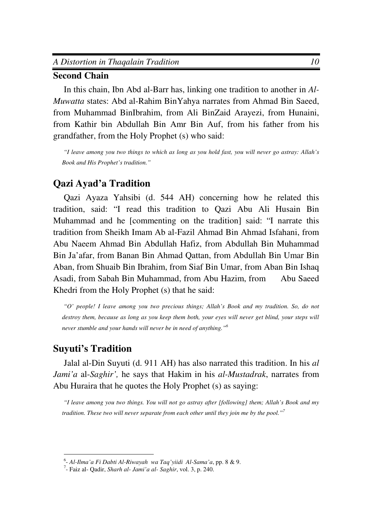#### **Second Chain**

In this chain, Ibn Abd al-Barr has, linking one tradition to another in *Al-Muwatta* states: Abd al-Rahim BinYahya narrates from Ahmad Bin Saeed, from Muhammad BinIbrahim, from Ali BinZaid Arayezi, from Hunaini, from Kathir bin Abdullah Bin Amr Bin Auf, from his father from his grandfather, from the Holy Prophet (s) who said:

 *"I leave among you two things to which as long as you hold fast, you will never go astray: Allah's Book and His Prophet's tradition."* 

## **Qazi Ayad'a Tradition**

Qazi Ayaza Yahsibi (d. 544 AH) concerning how he related this tradition, said: "I read this tradition to Qazi Abu Ali Husain Bin Muhammad and he [commenting on the tradition] said: "I narrate this tradition from Sheikh Imam Ab al-Fazil Ahmad Bin Ahmad Isfahani, from Abu Naeem Ahmad Bin Abdullah Hafiz, from Abdullah Bin Muhammad Bin Ja'afar, from Banan Bin Ahmad Qattan, from Abdullah Bin Umar Bin Aban, from Shuaib Bin Ibrahim, from Siaf Bin Umar, from Aban Bin Ishaq Asadi, from Sabah Bin Muhammad, from Abu Hazim, from Abu Saeed Khedri from the Holy Prophet (s) that he said:

 *"O' people! I leave among you two precious things; Allah's Book and my tradition. So, do not*  destroy them, because as long as you keep them both, your eyes will never get blind, your steps will *never stumble and your hands will never be in need of anything."<sup>6</sup>*

## **Suyuti's Tradition**

Jalal al-Din Suyuti (d. 911 AH) has also narrated this tradition. In his *al Jami'a* al-*Saghir',* he says that Hakim in his *al-Mustadrak*, narrates from Abu Huraira that he quotes the Holy Prophet (s) as saying:

 *"I leave among you two things. You will not go astray after [following] them; Allah's Book and my tradition. These two will never separate from each other until they join me by the pool."<sup>7</sup>*

 6 - *Al-Ilma'a Fi Dabti Al-Riwayah wa Taq'yiidi Al-Sama'a*, pp. 8 & 9.

<sup>7</sup> - Faiz al- Qadir, *Sharh al- Jami'a al- Saghir*, vol. 3, p. 240.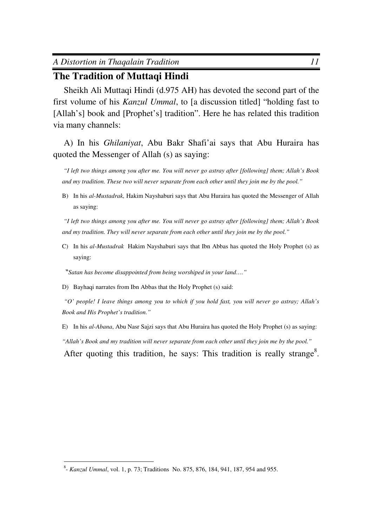## **The Tradition of Muttaqi Hindi**

Sheikh Ali Muttaqi Hindi (d.975 AH) has devoted the second part of the first volume of his *Kanzul Ummal*, to [a discussion titled] "holding fast to [Allah's] book and [Prophet's] tradition". Here he has related this tradition via many channels:

A) In his *Ghilaniyat*, Abu Bakr Shafi'ai says that Abu Huraira has quoted the Messenger of Allah (s) as saying:

 *"I left two things among you after me. You will never go astray after [following] them; Allah's Book and my tradition. These two will never separate from each other until they join me by the pool."* 

B) In his *al-Mustadrak,* Hakim Nayshaburi says that Abu Huraira has quoted the Messenger of Allah as saying:

 *"I left two things among you after me. You will never go astray after [following] them; Allah's Book and my tradition. They will never separate from each other until they join me by the pool."* 

C) In his *al*-*Mustadrak* Hakim Nayshaburi says that Ibn Abbas has quoted the Holy Prophet (s) as saying:

"*Satan has become disappointed from being worshiped in your land…."*

D) Bayhaqi narrates from Ibn Abbas that the Holy Prophet (s) said:

*"O' people! I leave things among you to which if you hold fast, you will never go astray; Allah's Book and His Prophet's tradition."* 

E) In his *al-Abana*, Abu Nasr Sajzi says that Abu Huraira has quoted the Holy Prophet (s) as saying: *"Allah's Book and my tradition will never separate from each other until they join me by the pool."*  After quoting this tradition, he says: This tradition is really strange<sup>8</sup>.

 8 - *Kanzul Ummal*, vol. 1, p. 73; Traditions No. 875, 876, 184, 941, 187, 954 and 955.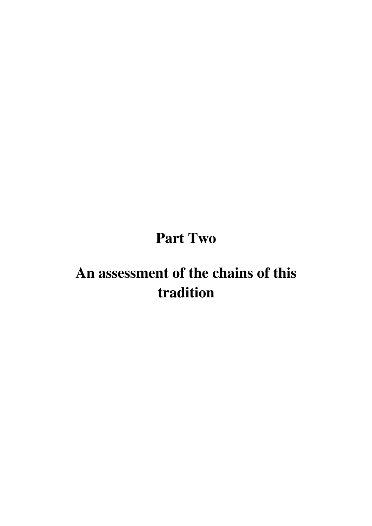# **Part Two**

# **An assessment of the chains of this tradition**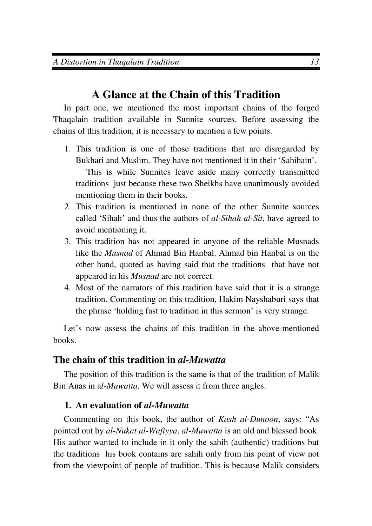## **A Glance at the Chain of this Tradition**

In part one, we mentioned the most important chains of the forged Thaqalain tradition available in Sunnite sources. Before assessing the chains of this tradition, it is necessary to mention a few points.

1. This tradition is one of those traditions that are disregarded by Bukhari and Muslim. They have not mentioned it in their 'Sahihain'.

This is while Sunnites leave aside many correctly transmitted traditions just because these two Sheikhs have unanimously avoided mentioning them in their books.

- 2. This tradition is mentioned in none of the other Sunnite sources called 'Sihah' and thus the authors of *al-Sihah al-Sit*, have agreed to avoid mentioning it.
- 3. This tradition has not appeared in anyone of the reliable Musnads like the *Musnad* of Ahmad Bin Hanbal. Ahmad bin Hanbal is on the other hand, quoted as having said that the traditions that have not appeared in his *Musnad* are not correct.
- 4. Most of the narrators of this tradition have said that it is a strange tradition. Commenting on this tradition, Hakim Nayshaburi says that the phrase 'holding fast to tradition in this sermon' is very strange.

Let's now assess the chains of this tradition in the above-mentioned books.

## **The chain of this tradition in** *al-Muwatta*

The position of this tradition is the same is that of the tradition of Malik Bin Anas in a*l-Muwatta*. We will assess it from three angles.

## **1. An evaluation of** *al-Muwatta*

Commenting on this book, the author of *Kash al-Dunoon*, says: "As pointed out by *al-Nukat al-Wafiyya*, *al-Muwatta* is an old and blessed book. His author wanted to include in it only the sahih (authentic) traditions but the traditions his book contains are sahih only from his point of view not from the viewpoint of people of tradition. This is because Malik considers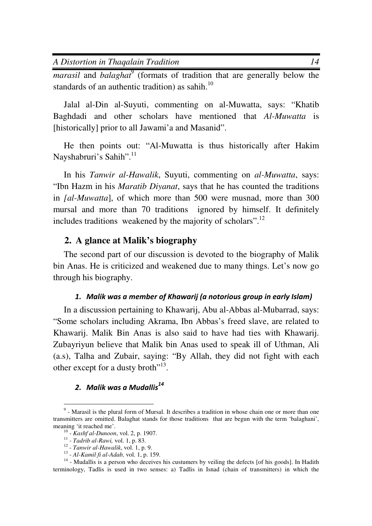*A Distortion in Thaqalain Tradition 14*

*marasil* and *balaghat*<sup>9</sup> (formats of tradition that are generally below the standards of an authentic tradition) as sahih.<sup>10</sup>

Jalal al-Din al-Suyuti, commenting on al-Muwatta, says: "Khatib Baghdadi and other scholars have mentioned that *Al-Muwatta* is [historically] prior to all Jawami'a and Masanid".

He then points out: "Al-Muwatta is thus historically after Hakim Nayshabruri's Sahih".<sup>11</sup>

In his *Tanwir al-Hawalik*, Suyuti, commenting on *al-Muwatta*, says: "Ibn Hazm in his *Maratib Diyanat*, says that he has counted the traditions in *[al-Muwatta*], of which more than 500 were musnad, more than 300 mursal and more than 70 traditions ignored by himself. It definitely includes traditions weakened by the majority of scholars".<sup>12</sup>

#### **2. A glance at Malik's biography**

The second part of our discussion is devoted to the biography of Malik bin Anas. He is criticized and weakened due to many things. Let's now go through his biography.

#### *1. Malik was a member of Khawarij (a notorious group in early Islam)*

In a discussion pertaining to Khawarij, Abu al-Abbas al-Mubarrad, says: "Some scholars including Akrama, Ibn Abbas's freed slave, are related to Khawarij. Malik Bin Anas is also said to have had ties with Khawarij. Zubayriyun believe that Malik bin Anas used to speak ill of Uthman, Ali (a.s), Talha and Zubair, saying: "By Allah, they did not fight with each other except for a dusty broth $"^{13}$ .

## *2. Malik was a Mudallis<sup>14</sup>*

<sup>&</sup>lt;sup>9</sup> - Marasil is the plural form of Mursal. It describes a tradition in whose chain one or more than one transmitters are omitted. Balaghat stands for those traditions that are begun with the term 'balaghani', meaning 'it reached me'.

<sup>10</sup> - *Kashf al-Dunoon*, vol. 2, p. 1907.

<sup>11</sup> - *Tadrib al-Rawi,* vol. 1, p. 83.

<sup>12</sup> - *Tanwir al-Hawalik*, vol. 1, p. 9.

<sup>13</sup> - *Al-Kamil fi al-Adab,* vol. 1, p. 159.

<sup>&</sup>lt;sup>14</sup> - Mudallis is a person who deceives his custumers by veiling the defects [of his goods]. In Hadith terminology, Tadlis is used in two senses: a) Tadlis in Isnad (chain of transmitters) in which the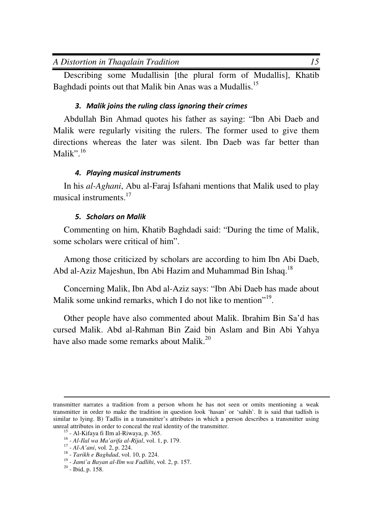Describing some Mudallisin [the plural form of Mudallis], Khatib Baghdadi points out that Malik bin Anas was a Mudallis.<sup>15</sup>

## *3. Malik joins the ruling class ignoring their crimes*

Abdullah Bin Ahmad quotes his father as saying: "Ibn Abi Daeb and Malik were regularly visiting the rulers. The former used to give them directions whereas the later was silent. Ibn Daeb was far better than Malik". $^{16}$ 

## *4. Playing musical instruments*

In his *al-Aghani*, Abu al-Faraj Isfahani mentions that Malik used to play musical instruments.<sup>17</sup>

## *5. Scholars on Malik*

Commenting on him, Khatib Baghdadi said: "During the time of Malik, some scholars were critical of him".

Among those criticized by scholars are according to him Ibn Abi Daeb, Abd al-Aziz Majeshun, Ibn Abi Hazim and Muhammad Bin Ishaq.<sup>18</sup>

Concerning Malik, Ibn Abd al-Aziz says: "Ibn Abi Daeb has made about Malik some unkind remarks, which I do not like to mention"<sup>19</sup>.

Other people have also commented about Malik. Ibrahim Bin Sa'd has cursed Malik. Abd al-Rahman Bin Zaid bin Aslam and Bin Abi Yahya have also made some remarks about Malik.<sup>20</sup>

 $\overline{a}$ transmitter narrates a tradition from a person whom he has not seen or omits mentioning a weak transmitter in order to make the tradition in question look 'hasan' or 'sahih'. It is said that tadlish is similar to lying. B) Tadlis in a transmitter's attributes in which a person describes a transmitter using unreal attributes in order to conceal the real identity of the transmitter.

 $15$  - Al-Kifaya fi Ilm al-Riwaya, p. 365.

<sup>16</sup> - *Al-Ilal wa Ma'arifa al-Rijal*, vol. 1, p. 179.

<sup>17</sup> - *Al-A'ani*, vol. 2, p. 224.

<sup>18</sup> - *Tarikh e Baghdad*, vol. 10, p. 224.

<sup>19</sup> - *Jami'a Bayan al-Ilm wa Fadlihi*, vol. 2, p. 157.

<sup>20</sup> - Ibid, p. 158.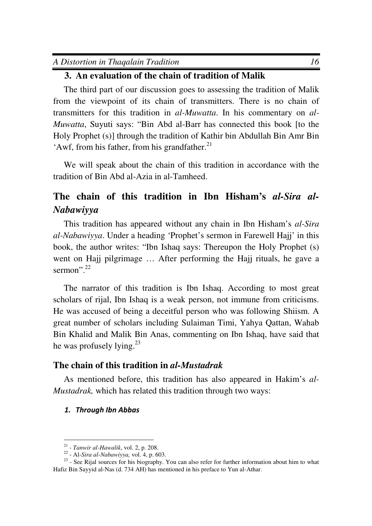## **3. An evaluation of the chain of tradition of Malik**

The third part of our discussion goes to assessing the tradition of Malik from the viewpoint of its chain of transmitters. There is no chain of transmitters for this tradition in *al-Muwatta*. In his commentary on *al-Muwatta*, Suyuti says: "Bin Abd al-Barr has connected this book [to the Holy Prophet (s)] through the tradition of Kathir bin Abdullah Bin Amr Bin 'Awf, from his father, from his grandfather. $^{21}$ 

We will speak about the chain of this tradition in accordance with the tradition of Bin Abd al-Azia in al-Tamheed.

## **The chain of this tradition in Ibn Hisham's** *al-Sira al-Nabawiyya*

This tradition has appeared without any chain in Ibn Hisham's *al-Sira al-Nabawiyya*. Under a heading 'Prophet's sermon in Farewell Hajj' in this book, the author writes: "Ibn Ishaq says: Thereupon the Holy Prophet (s) went on Hajj pilgrimage … After performing the Hajj rituals, he gave a sermon". $^{22}$ 

The narrator of this tradition is Ibn Ishaq. According to most great scholars of rijal, Ibn Ishaq is a weak person, not immune from criticisms. He was accused of being a deceitful person who was following Shiism. A great number of scholars including Sulaiman Timi, Yahya Qattan, Wahab Bin Khalid and Malik Bin Anas, commenting on Ibn Ishaq, have said that he was profusely lying.<sup>23</sup>

#### **The chain of this tradition in** *al-Mustadrak*

As mentioned before, this tradition has also appeared in Hakim's *al-Mustadrak,* which has related this tradition through two ways:

#### *1. Through Ibn Abbas*

 21 - *Tanwir al-Hawalik*, vol. 2, p. 208.

<sup>22</sup> - Al-*Sira al-Nabawiyya,* vol. 4, p. 603.

<sup>&</sup>lt;sup>23</sup> - See Rijal sources for his biography. You can also refer for further information about him to what Hafiz Bin Sayyid al-Nas (d. 734 AH) has mentioned in his preface to Yun al-Athar.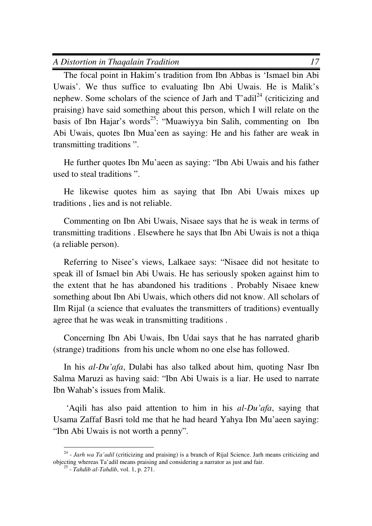The focal point in Hakim's tradition from Ibn Abbas is 'Ismael bin Abi Uwais'. We thus suffice to evaluating Ibn Abi Uwais. He is Malik's nephew. Some scholars of the science of Jarh and  $T'adi<sup>24</sup>$  (criticizing and praising) have said something about this person, which I will relate on the basis of Ibn Hajar's words<sup>25</sup>: "Muawiyya bin Salih, commenting on Ibn Abi Uwais, quotes Ibn Mua'een as saying: He and his father are weak in transmitting traditions ".

He further quotes Ibn Mu'aeen as saying: "Ibn Abi Uwais and his father used to steal traditions ".

He likewise quotes him as saying that Ibn Abi Uwais mixes up traditions , lies and is not reliable.

Commenting on Ibn Abi Uwais, Nisaee says that he is weak in terms of transmitting traditions . Elsewhere he says that Ibn Abi Uwais is not a thiqa (a reliable person).

Referring to Nisee's views, Lalkaee says: "Nisaee did not hesitate to speak ill of Ismael bin Abi Uwais. He has seriously spoken against him to the extent that he has abandoned his traditions . Probably Nisaee knew something about Ibn Abi Uwais, which others did not know. All scholars of Ilm Rijal (a science that evaluates the transmitters of traditions) eventually agree that he was weak in transmitting traditions .

Concerning Ibn Abi Uwais, Ibn Udai says that he has narrated gharib (strange) traditions from his uncle whom no one else has followed.

In his *al-Du'afa*, Dulabi has also talked about him, quoting Nasr Ibn Salma Maruzi as having said: "Ibn Abi Uwais is a liar. He used to narrate Ibn Wahab's issues from Malik.

 'Aqili has also paid attention to him in his *al-Du'afa*, saying that Usama Zaffaf Basri told me that he had heard Yahya Ibn Mu'aeen saying: "Ibn Abi Uwais is not worth a penny".

<sup>&</sup>lt;sup>24</sup> - *Jarh wa Ta'adil* (criticizing and praising) is a branch of Rijal Science. Jarh means criticizing and objecting whereas Ta'adil means praising and considering a narrator as just and fair.

<sup>25</sup> - *Tahdib al-Tahdib*, vol. 1, p. 271.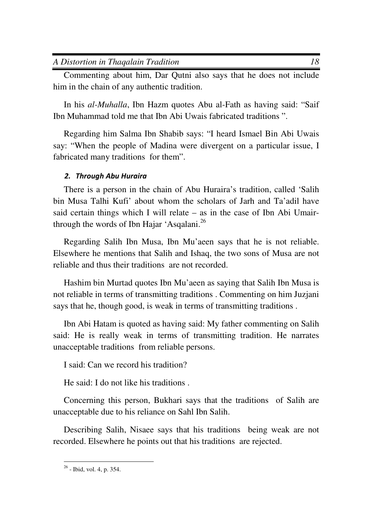Commenting about him, Dar Qutni also says that he does not include him in the chain of any authentic tradition.

In his *al-Muhalla*, Ibn Hazm quotes Abu al-Fath as having said: "Saif Ibn Muhammad told me that Ibn Abi Uwais fabricated traditions ".

Regarding him Salma Ibn Shabib says: "I heard Ismael Bin Abi Uwais say: "When the people of Madina were divergent on a particular issue, I fabricated many traditions for them".

## *2. Through Abu Huraira*

There is a person in the chain of Abu Huraira's tradition, called 'Salih bin Musa Talhi Kufi' about whom the scholars of Jarh and Ta'adil have said certain things which I will relate – as in the case of Ibn Abi Umairthrough the words of Ibn Hajar 'Asqalani.<sup>26</sup>

Regarding Salih Ibn Musa, Ibn Mu'aeen says that he is not reliable. Elsewhere he mentions that Salih and Ishaq, the two sons of Musa are not reliable and thus their traditions are not recorded.

Hashim bin Murtad quotes Ibn Mu'aeen as saying that Salih Ibn Musa is not reliable in terms of transmitting traditions . Commenting on him Juzjani says that he, though good, is weak in terms of transmitting traditions .

Ibn Abi Hatam is quoted as having said: My father commenting on Salih said: He is really weak in terms of transmitting tradition. He narrates unacceptable traditions from reliable persons.

I said: Can we record his tradition?

He said: I do not like his traditions .

Concerning this person, Bukhari says that the traditions of Salih are unacceptable due to his reliance on Sahl Ibn Salih.

Describing Salih, Nisaee says that his traditions being weak are not recorded. Elsewhere he points out that his traditions are rejected.

 $\overline{a}$  $26$  - Ibid, vol. 4, p. 354.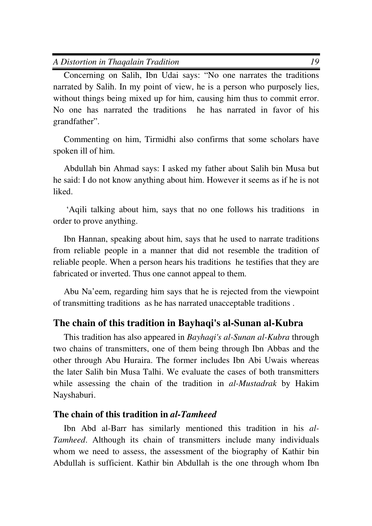Concerning on Salih, Ibn Udai says: "No one narrates the traditions narrated by Salih. In my point of view, he is a person who purposely lies, without things being mixed up for him, causing him thus to commit error. No one has narrated the traditions he has narrated in favor of his grandfather".

Commenting on him, Tirmidhi also confirms that some scholars have spoken ill of him.

Abdullah bin Ahmad says: I asked my father about Salih bin Musa but he said: I do not know anything about him. However it seems as if he is not **liked** 

 'Aqili talking about him, says that no one follows his traditions in order to prove anything.

Ibn Hannan, speaking about him, says that he used to narrate traditions from reliable people in a manner that did not resemble the tradition of reliable people. When a person hears his traditions he testifies that they are fabricated or inverted. Thus one cannot appeal to them.

Abu Na'eem, regarding him says that he is rejected from the viewpoint of transmitting traditions as he has narrated unacceptable traditions .

## **The chain of this tradition in Bayhaqi's al-Sunan al-Kubra**

This tradition has also appeared in *Bayhaqi's al-Sunan al-Kubra* through two chains of transmitters, one of them being through Ibn Abbas and the other through Abu Huraira. The former includes Ibn Abi Uwais whereas the later Salih bin Musa Talhi. We evaluate the cases of both transmitters while assessing the chain of the tradition in *al-Mustadrak* by Hakim Nayshaburi.

### **The chain of this tradition in** *al-Tamheed*

Ibn Abd al-Barr has similarly mentioned this tradition in his *al-Tamheed*. Although its chain of transmitters include many individuals whom we need to assess, the assessment of the biography of Kathir bin Abdullah is sufficient. Kathir bin Abdullah is the one through whom Ibn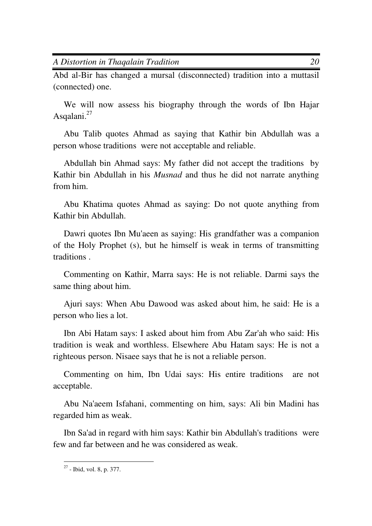*A Distortion in Thaqalain Tradition 20*

Abd al-Bir has changed a mursal (disconnected) tradition into a muttasil (connected) one.

We will now assess his biography through the words of Ibn Hajar Asqalani.<sup>27</sup>

Abu Talib quotes Ahmad as saying that Kathir bin Abdullah was a person whose traditions were not acceptable and reliable.

Abdullah bin Ahmad says: My father did not accept the traditions by Kathir bin Abdullah in his *Musnad* and thus he did not narrate anything from him.

Abu Khatima quotes Ahmad as saying: Do not quote anything from Kathir bin Abdullah.

Dawri quotes Ibn Mu'aeen as saying: His grandfather was a companion of the Holy Prophet (s), but he himself is weak in terms of transmitting traditions .

Commenting on Kathir, Marra says: He is not reliable. Darmi says the same thing about him.

Ajuri says: When Abu Dawood was asked about him, he said: He is a person who lies a lot.

Ibn Abi Hatam says: I asked about him from Abu Zar'ah who said: His tradition is weak and worthless. Elsewhere Abu Hatam says: He is not a righteous person. Nisaee says that he is not a reliable person.

Commenting on him, Ibn Udai says: His entire traditions are not acceptable.

Abu Na'aeem Isfahani, commenting on him, says: Ali bin Madini has regarded him as weak.

Ibn Sa'ad in regard with him says: Kathir bin Abdullah's traditions were few and far between and he was considered as weak.

 $\overline{a}$  $27$  - Ibid, vol. 8, p. 377.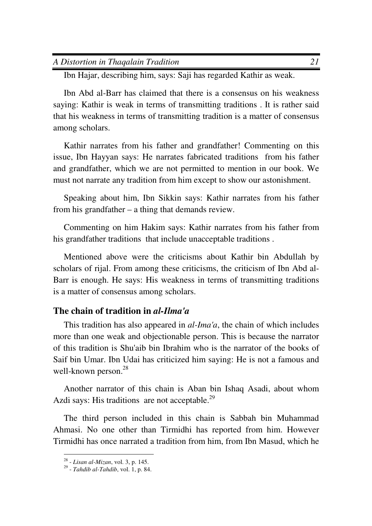| A Distortion in Thagalain Tradition |  |
|-------------------------------------|--|
|-------------------------------------|--|

Ibn Hajar, describing him, says: Saji has regarded Kathir as weak.

Ibn Abd al-Barr has claimed that there is a consensus on his weakness saying: Kathir is weak in terms of transmitting traditions . It is rather said that his weakness in terms of transmitting tradition is a matter of consensus among scholars.

Kathir narrates from his father and grandfather! Commenting on this issue, Ibn Hayyan says: He narrates fabricated traditions from his father and grandfather, which we are not permitted to mention in our book. We must not narrate any tradition from him except to show our astonishment.

Speaking about him, Ibn Sikkin says: Kathir narrates from his father from his grandfather – a thing that demands review.

Commenting on him Hakim says: Kathir narrates from his father from his grandfather traditions that include unacceptable traditions .

Mentioned above were the criticisms about Kathir bin Abdullah by scholars of rijal. From among these criticisms, the criticism of Ibn Abd al-Barr is enough. He says: His weakness in terms of transmitting traditions is a matter of consensus among scholars.

### **The chain of tradition in** *al-Ilma'a*

This tradition has also appeared in *al-Ima'a*, the chain of which includes more than one weak and objectionable person. This is because the narrator of this tradition is Shu'aib bin Ibrahim who is the narrator of the books of Saif bin Umar. Ibn Udai has criticized him saying: He is not a famous and well-known person.<sup>28</sup>

Another narrator of this chain is Aban bin Ishaq Asadi, about whom Azdi says: His traditions are not acceptable. $29$ 

The third person included in this chain is Sabbah bin Muhammad Ahmasi. No one other than Tirmidhi has reported from him. However Tirmidhi has once narrated a tradition from him, from Ibn Masud, which he

 28 - *Lisan al-Mizan*, vol. 3, p. 145.

<sup>29</sup> - *Tahdib al-Tahdib*, vol. 1, p. 84.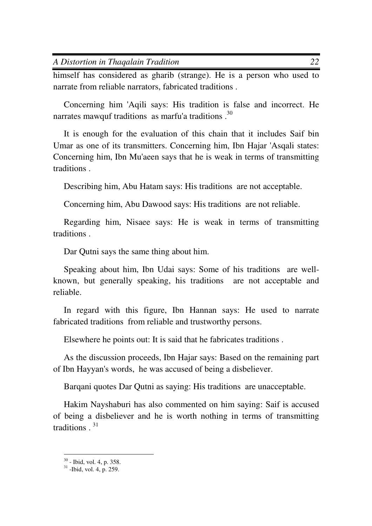himself has considered as gharib (strange). He is a person who used to narrate from reliable narrators, fabricated traditions .

Concerning him 'Aqili says: His tradition is false and incorrect. He narrates mawquf traditions as marfu'a traditions.<sup>30</sup>

It is enough for the evaluation of this chain that it includes Saif bin Umar as one of its transmitters. Concerning him, Ibn Hajar 'Asqali states: Concerning him, Ibn Mu'aeen says that he is weak in terms of transmitting traditions .

Describing him, Abu Hatam says: His traditions are not acceptable.

Concerning him, Abu Dawood says: His traditions are not reliable.

Regarding him, Nisaee says: He is weak in terms of transmitting traditions .

Dar Qutni says the same thing about him.

Speaking about him, Ibn Udai says: Some of his traditions are wellknown, but generally speaking, his traditions are not acceptable and reliable.

In regard with this figure, Ibn Hannan says: He used to narrate fabricated traditions from reliable and trustworthy persons.

Elsewhere he points out: It is said that he fabricates traditions .

As the discussion proceeds, Ibn Hajar says: Based on the remaining part of Ibn Hayyan's words, he was accused of being a disbeliever.

Barqani quotes Dar Qutni as saying: His traditions are unacceptable.

Hakim Nayshaburi has also commented on him saying: Saif is accused of being a disbeliever and he is worth nothing in terms of transmitting traditions . <sup>31</sup>

 $\overline{a}$ 

 $30$  - Ibid, vol. 4, p. 358.

 $31$  -Ibid, vol. 4, p. 259.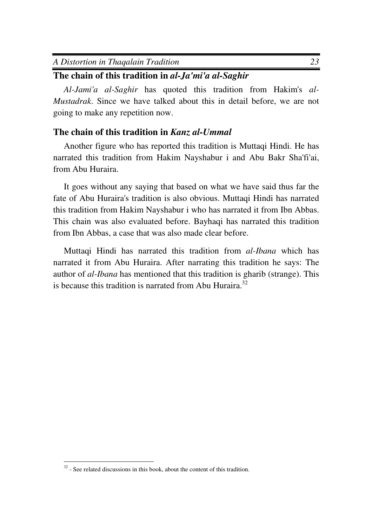| A Distortion in Thagalain Tradition |  |  |
|-------------------------------------|--|--|
|-------------------------------------|--|--|

## **The chain of this tradition in** *al-Ja'mi'a al-Saghir*

*Al-Jami'a al-Saghir* has quoted this tradition from Hakim's *al-Mustadrak*. Since we have talked about this in detail before, we are not going to make any repetition now.

## **The chain of this tradition in** *Kanz al-Ummal*

Another figure who has reported this tradition is Muttaqi Hindi. He has narrated this tradition from Hakim Nayshabur i and Abu Bakr Sha'fi'ai, from Abu Huraira.

It goes without any saying that based on what we have said thus far the fate of Abu Huraira's tradition is also obvious. Muttaqi Hindi has narrated this tradition from Hakim Nayshabur i who has narrated it from Ibn Abbas. This chain was also evaluated before. Bayhaqi has narrated this tradition from Ibn Abbas, a case that was also made clear before.

Muttaqi Hindi has narrated this tradition from *al-Ibana* which has narrated it from Abu Huraira. After narrating this tradition he says: The author of *al-Ibana* has mentioned that this tradition is gharib (strange). This is because this tradition is narrated from Abu Huraira.<sup>32</sup>

 $\overline{a}$  $32$  - See related discussions in this book, about the content of this tradition.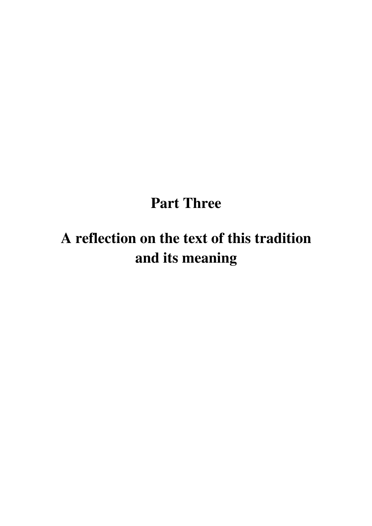# **Part Three**

# **A reflection on the text of this tradition and its meaning**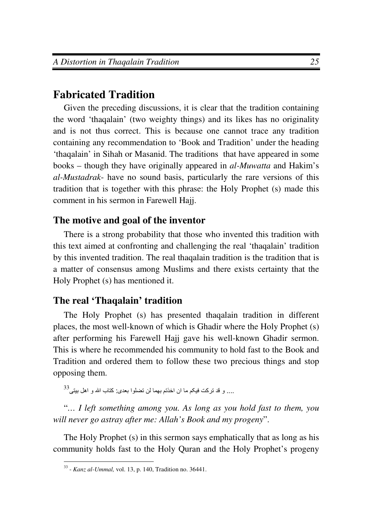## **Fabricated Tradition**

Given the preceding discussions, it is clear that the tradition containing the word 'thaqalain' (two weighty things) and its likes has no originality and is not thus correct. This is because one cannot trace any tradition containing any recommendation to 'Book and Tradition' under the heading 'thaqalain' in Sihah or Masanid. The traditions that have appeared in some books – though they have originally appeared in *al-Muwatta* and Hakim's *al-Mustadrak*- have no sound basis, particularly the rare versions of this tradition that is together with this phrase: the Holy Prophet (s) made this comment in his sermon in Farewell Hajj.

## **The motive and goal of the inventor**

There is a strong probability that those who invented this tradition with this text aimed at confronting and challenging the real 'thaqalain' tradition by this invented tradition. The real thaqalain tradition is the tradition that is a matter of consensus among Muslims and there exists certainty that the Holy Prophet (s) has mentioned it.

## **The real 'Thaqalain' tradition**

The Holy Prophet (s) has presented thaqalain tradition in different places, the most well-known of which is Ghadir where the Holy Prophet (s) after performing his Farewell Hajj gave his well-known Ghadir sermon. This is where he recommended his community to hold fast to the Book and Tradition and ordered them to follow these two precious things and stop opposing them.

 $^{33}$ .... و قد تركت فيكم ما ان اخذتم بهما لن تضلوا بعدي: كتاب الله و اهل بيتي.

"*… I left something among you. As long as you hold fast to them, you will never go astray after me: Allah's Book and my progeny*".

The Holy Prophet (s) in this sermon says emphatically that as long as his community holds fast to the Holy Quran and the Holy Prophet's progeny

 33 - *Kanz al-Ummal,* vol. 13, p. 140, Tradition no. 36441.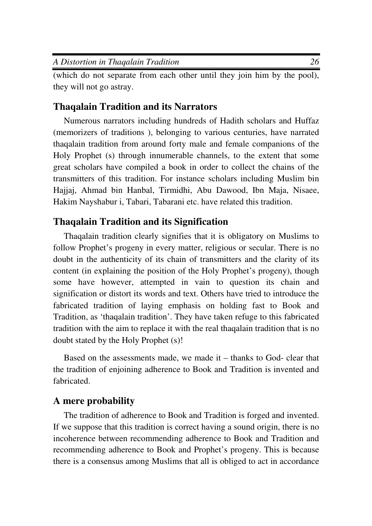| A Distortion in Thagalain Tradition |  |
|-------------------------------------|--|

(which do not separate from each other until they join him by the pool), they will not go astray.

### **Thaqalain Tradition and its Narrators**

Numerous narrators including hundreds of Hadith scholars and Huffaz (memorizers of traditions ), belonging to various centuries, have narrated thaqalain tradition from around forty male and female companions of the Holy Prophet (s) through innumerable channels, to the extent that some great scholars have compiled a book in order to collect the chains of the transmitters of this tradition. For instance scholars including Muslim bin Hajjaj, Ahmad bin Hanbal, Tirmidhi, Abu Dawood, Ibn Maja, Nisaee, Hakim Nayshabur i, Tabari, Tabarani etc. have related this tradition.

#### **Thaqalain Tradition and its Signification**

Thaqalain tradition clearly signifies that it is obligatory on Muslims to follow Prophet's progeny in every matter, religious or secular. There is no doubt in the authenticity of its chain of transmitters and the clarity of its content (in explaining the position of the Holy Prophet's progeny), though some have however, attempted in vain to question its chain and signification or distort its words and text. Others have tried to introduce the fabricated tradition of laying emphasis on holding fast to Book and Tradition, as 'thaqalain tradition'. They have taken refuge to this fabricated tradition with the aim to replace it with the real thaqalain tradition that is no doubt stated by the Holy Prophet (s)!

Based on the assessments made, we made it – thanks to God- clear that the tradition of enjoining adherence to Book and Tradition is invented and fabricated.

## **A mere probability**

The tradition of adherence to Book and Tradition is forged and invented. If we suppose that this tradition is correct having a sound origin, there is no incoherence between recommending adherence to Book and Tradition and recommending adherence to Book and Prophet's progeny. This is because there is a consensus among Muslims that all is obliged to act in accordance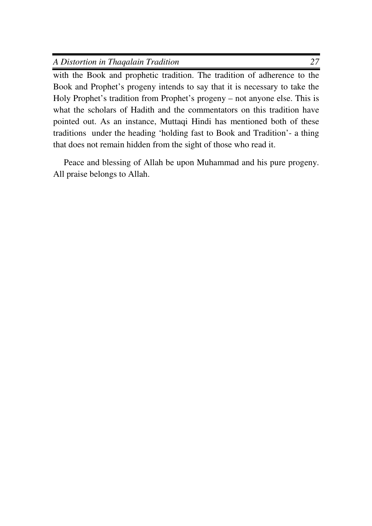| A Distortion in Thagalain Tradition |  |
|-------------------------------------|--|
|                                     |  |

with the Book and prophetic tradition. The tradition of adherence to the Book and Prophet's progeny intends to say that it is necessary to take the Holy Prophet's tradition from Prophet's progeny – not anyone else. This is what the scholars of Hadith and the commentators on this tradition have pointed out. As an instance, Muttaqi Hindi has mentioned both of these traditions under the heading 'holding fast to Book and Tradition'- a thing that does not remain hidden from the sight of those who read it.

Peace and blessing of Allah be upon Muhammad and his pure progeny. All praise belongs to Allah.